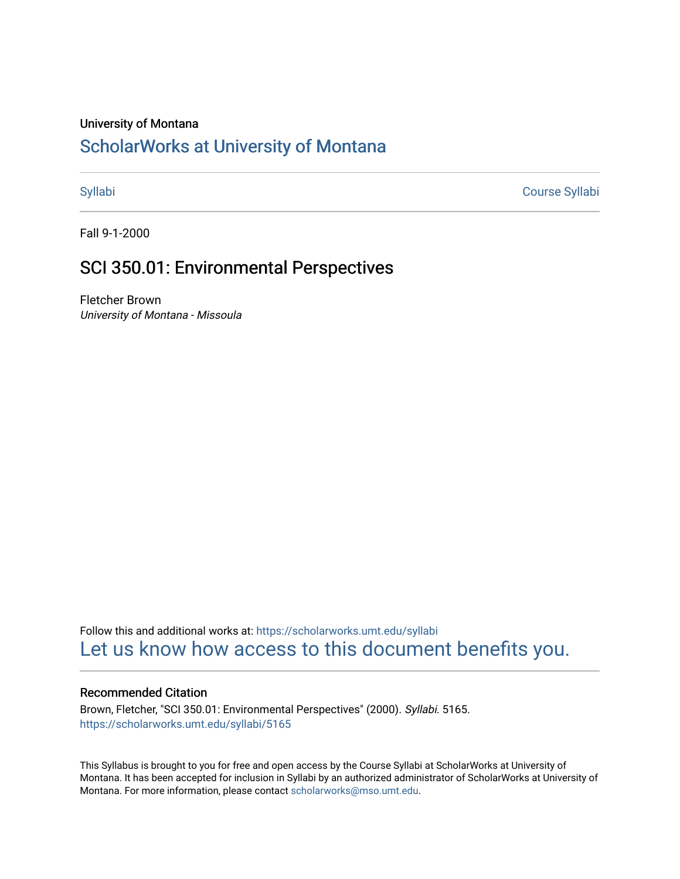## University of Montana

# [ScholarWorks at University of Montana](https://scholarworks.umt.edu/)

[Syllabi](https://scholarworks.umt.edu/syllabi) [Course Syllabi](https://scholarworks.umt.edu/course_syllabi) 

Fall 9-1-2000

# SCI 350.01: Environmental Perspectives

Fletcher Brown University of Montana - Missoula

Follow this and additional works at: [https://scholarworks.umt.edu/syllabi](https://scholarworks.umt.edu/syllabi?utm_source=scholarworks.umt.edu%2Fsyllabi%2F5165&utm_medium=PDF&utm_campaign=PDFCoverPages)  [Let us know how access to this document benefits you.](https://goo.gl/forms/s2rGfXOLzz71qgsB2) 

## Recommended Citation

Brown, Fletcher, "SCI 350.01: Environmental Perspectives" (2000). Syllabi. 5165. [https://scholarworks.umt.edu/syllabi/5165](https://scholarworks.umt.edu/syllabi/5165?utm_source=scholarworks.umt.edu%2Fsyllabi%2F5165&utm_medium=PDF&utm_campaign=PDFCoverPages)

This Syllabus is brought to you for free and open access by the Course Syllabi at ScholarWorks at University of Montana. It has been accepted for inclusion in Syllabi by an authorized administrator of ScholarWorks at University of Montana. For more information, please contact [scholarworks@mso.umt.edu.](mailto:scholarworks@mso.umt.edu)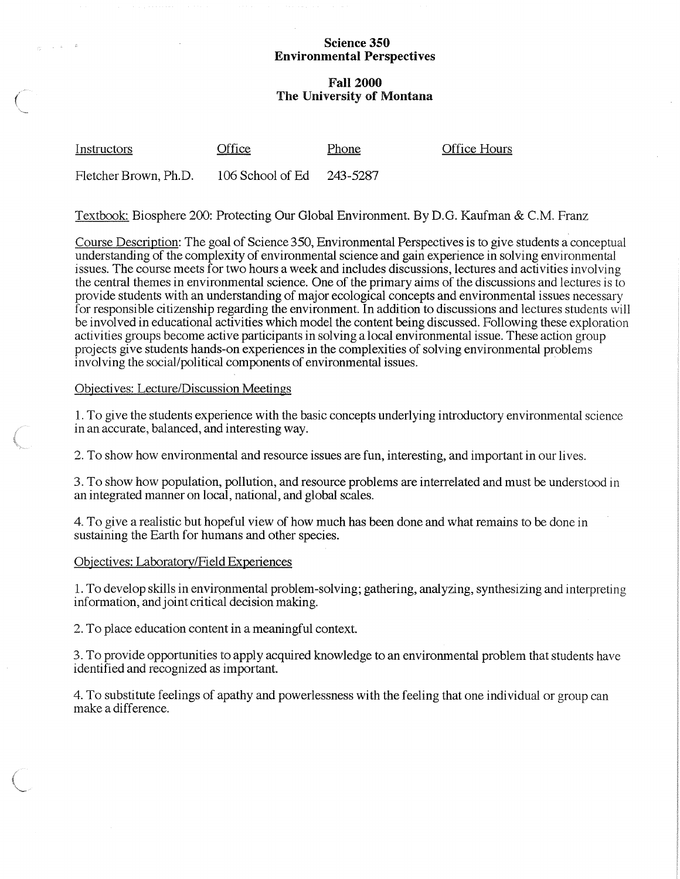#### **Science 350 Environmental Perspectives**

## **Fall 2000 The University of Montana**

| Instructors           | Office                    | Phone | <b>Office Hours</b> |
|-----------------------|---------------------------|-------|---------------------|
| Fletcher Brown, Ph.D. | 106 School of Ed 243-5287 |       |                     |

Textbook: Biosphere 200: Protecting Our Global Environment. By D.G. Kaufman & C.M. Franz

Course Description: The goal of Science 350, Environmental Perspectives is to give students a conceptual understanding of the complexity of environmental science and gain experience in solving environmental issues. The course meets for two hours a week and includes discussions, lectures and activities involving the central themes in environmental science. One of the primary aims of the discussions and lectures is to provide students with an understanding of major ecological concepts and environmental issues necessary for responsible citizenship regarding the environment. In addition to discussions and lectures students will be involved in educational activities which model the content being discussed. Following these exploration activities groups become active participants in solving a local environmental issue. These action group projects give students hands-on experiences in the complexities of solving environmental problems involving the social/political components of environmental issues.

### Objectives: Lecture/Discussion Meetings

 $\frac{1}{\sqrt{2}}\left(\frac{1}{2}\right)^{1/2}$  in

1. To give the students experience with the basic concepts underlying introductory environmental science in an accurate, balanced, and interesting way.

2. To show how environmental and resource issues are fun, interesting, and important in our lives.

3. To show how population, pollution, and resource problems are interrelated and must be understood in an integrated manner on local, national, and global scales.

4. To give a realistic but hopeful view of how much has been done and what remains to be done in sustaining the Earth for humans and other species.

#### Objectives: Laboratory/Field Experiences

1. To develop skills in environmental problem-solving; gathering, analyzing, synthesizing and interpreting information, and joint critical decision making.

2. To place education content in a meaningful context.

3. To provide opportunities to apply acquired knowledge to an environmental problem that students have identified and recognized as important.

4. To substitute feelings of apathy and powerlessness with the feeling that one individual or group can make a difference.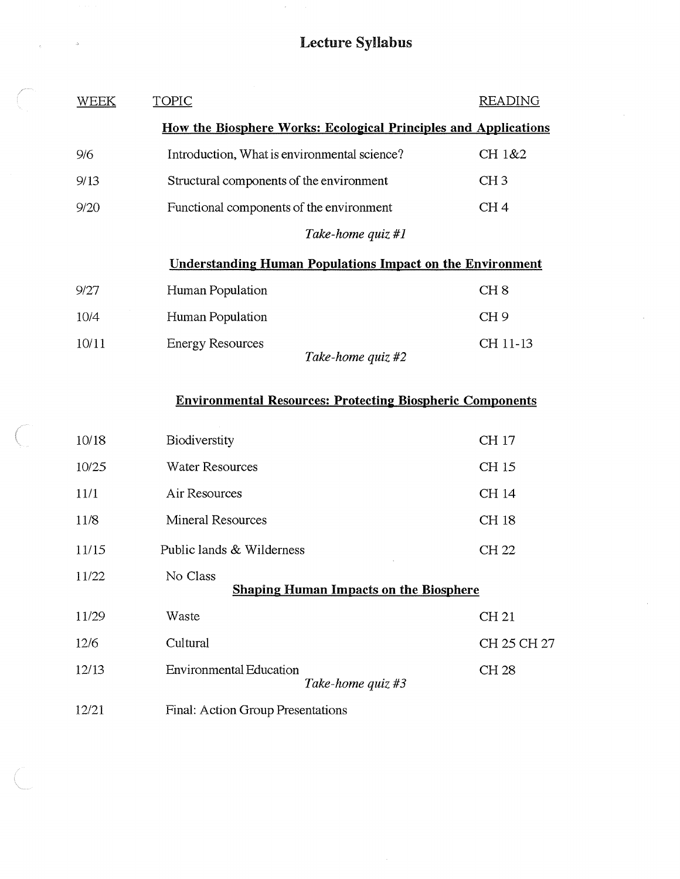# **Lecture Syllabus**

 $\hat{\boldsymbol{\beta}}$ 

| WEEK                                                             | <b>TOPIC</b>                                        | <b>READING</b>  |  |  |
|------------------------------------------------------------------|-----------------------------------------------------|-----------------|--|--|
| How the Biosphere Works: Ecological Principles and Applications  |                                                     |                 |  |  |
| 9/6                                                              | Introduction, What is environmental science?        | CH 1&2          |  |  |
| 9/13                                                             | Structural components of the environment            | CH <sub>3</sub> |  |  |
| 9/20                                                             | Functional components of the environment            | CH <sub>4</sub> |  |  |
|                                                                  | Take-home quiz #1                                   |                 |  |  |
| <b>Understanding Human Populations Impact on the Environment</b> |                                                     |                 |  |  |
| 9/27                                                             | Human Population                                    | CH <sub>8</sub> |  |  |
| 10/4                                                             | Human Population                                    | CH <sub>9</sub> |  |  |
| 10/11                                                            | <b>Energy Resources</b>                             | CH 11-13        |  |  |
|                                                                  | Take-home quiz #2                                   |                 |  |  |
| <b>Environmental Resources: Protecting Biospheric Components</b> |                                                     |                 |  |  |
|                                                                  |                                                     |                 |  |  |
| 10/18                                                            | Biodiverstity                                       | CH 17           |  |  |
| 10/25                                                            | <b>Water Resources</b>                              | CH 15           |  |  |
| 11/1                                                             | Air Resources                                       | CH 14           |  |  |
| 11/8                                                             | <b>Mineral Resources</b>                            | <b>CH18</b>     |  |  |
| 11/15                                                            | Public lands & Wilderness                           | <b>CH 22</b>    |  |  |
| 11/22                                                            | No Class                                            |                 |  |  |
|                                                                  | <b>Shaping Human Impacts on the Biosphere</b>       |                 |  |  |
| 11/29                                                            | Waste                                               | CH 21           |  |  |
| 12/6                                                             | Cultural                                            | CH 25 CH 27     |  |  |
| 12/13                                                            | <b>Environmental Education</b><br>Take-home quiz #3 | CH 28           |  |  |
| 12/21                                                            | Final: Action Group Presentations                   |                 |  |  |